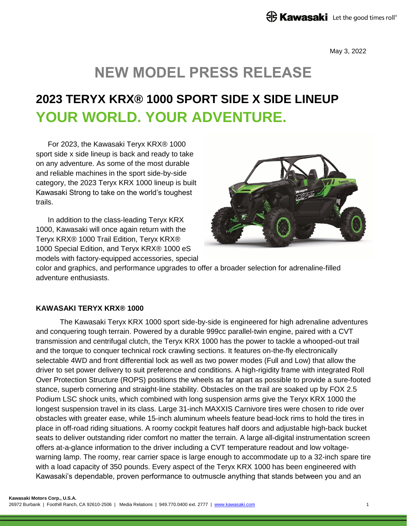May 3, 2022

# **NEW MODEL PRESS RELEASE**

# **2023 TERYX KRX® 1000 SPORT SIDE X SIDE LINEUP YOUR WORLD. YOUR ADVENTURE.**

For 2023, the Kawasaki Teryx KRX® 1000 sport side x side lineup is back and ready to take on any adventure. As some of the most durable and reliable machines in the sport side-by-side category, the 2023 Teryx KRX 1000 lineup is built Kawasaki Strong to take on the world's toughest trails.

In addition to the class-leading Teryx KRX 1000, Kawasaki will once again return with the Teryx KRX® 1000 Trail Edition, Teryx KRX® 1000 Special Edition, and Teryx KRX® 1000 eS models with factory-equipped accessories, special



color and graphics, and performance upgrades to offer a broader selection for adrenaline-filled adventure enthusiasts.

#### **KAWASAKI TERYX KRX® 1000**

The Kawasaki Teryx KRX 1000 sport side-by-side is engineered for high adrenaline adventures and conquering tough terrain. Powered by a durable 999cc parallel-twin engine, paired with a CVT transmission and centrifugal clutch, the Teryx KRX 1000 has the power to tackle a whooped-out trail and the torque to conquer technical rock crawling sections. It features on-the-fly electronically selectable 4WD and front differential lock as well as two power modes (Full and Low) that allow the driver to set power delivery to suit preference and conditions. A high-rigidity frame with integrated Roll Over Protection Structure (ROPS) positions the wheels as far apart as possible to provide a sure-footed stance, superb cornering and straight-line stability. Obstacles on the trail are soaked up by FOX 2.5 Podium LSC shock units, which combined with long suspension arms give the Teryx KRX 1000 the longest suspension travel in its class. Large 31-inch MAXXIS Carnivore tires were chosen to ride over obstacles with greater ease, while 15-inch aluminum wheels feature bead-lock rims to hold the tires in place in off-road riding situations. A roomy cockpit features half doors and adjustable high-back bucket seats to deliver outstanding rider comfort no matter the terrain. A large all-digital instrumentation screen offers at-a-glance information to the driver including a CVT temperature readout and low voltagewarning lamp. The roomy, rear carrier space is large enough to accommodate up to a 32-inch spare tire with a load capacity of 350 pounds. Every aspect of the Teryx KRX 1000 has been engineered with Kawasaki's dependable, proven performance to outmuscle anything that stands between you and an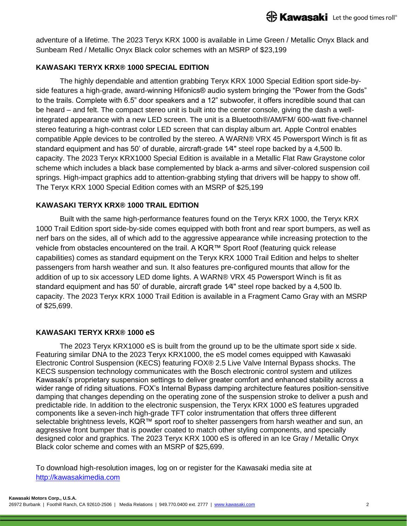adventure of a lifetime. The 2023 Teryx KRX 1000 is available in Lime Green / Metallic Onyx Black and Sunbeam Red / Metallic Onyx Black color schemes with an MSRP of \$23,199

## **KAWASAKI TERYX KRX® 1000 SPECIAL EDITION**

The highly dependable and attention grabbing Teryx KRX 1000 Special Edition sport side-byside features a high-grade, award-winning Hifonics® audio system bringing the "Power from the Gods" to the trails. Complete with 6.5" door speakers and a 12" subwoofer, it offers incredible sound that can be heard – and felt. The compact stereo unit is built into the center console, giving the dash a wellintegrated appearance with a new LED screen. The unit is a Bluetooth®/AM/FM/ 600-watt five-channel stereo featuring a high-contrast color LED screen that can display album art. Apple Control enables compatible Apple devices to be controlled by the stereo. A WARN® VRX 45 Powersport Winch is fit as standard equipment and has 50' of durable, aircraft-grade 1⁄4" steel rope backed by a 4,500 lb. capacity. The 2023 Teryx KRX1000 Special Edition is available in a Metallic Flat Raw Graystone color scheme which includes a black base complemented by black a-arms and silver-colored suspension coil springs. High-impact graphics add to attention-grabbing styling that drivers will be happy to show off. The Teryx KRX 1000 Special Edition comes with an MSRP of \$25,199

#### **KAWASAKI TERYX KRX® 1000 TRAIL EDITION**

Built with the same high-performance features found on the Teryx KRX 1000, the Teryx KRX 1000 Trail Edition sport side-by-side comes equipped with both front and rear sport bumpers, as well as nerf bars on the sides, all of which add to the aggressive appearance while increasing protection to the vehicle from obstacles encountered on the trail. A KQR™ Sport Roof (featuring quick release capabilities) comes as standard equipment on the Teryx KRX 1000 Trail Edition and helps to shelter passengers from harsh weather and sun. It also features pre-configured mounts that allow for the addition of up to six accessory LED dome lights. A WARN® VRX 45 Powersport Winch is fit as standard equipment and has 50' of durable, aircraft grade  $1/4$ " steel rope backed by a 4,500 lb. capacity. The 2023 Teryx KRX 1000 Trail Edition is available in a Fragment Camo Gray with an MSRP of \$25,699.

#### **KAWASAKI TERYX KRX® 1000 eS**

The 2023 Teryx KRX1000 eS is built from the ground up to be the ultimate sport side x side. Featuring similar DNA to the 2023 Teryx KRX1000, the eS model comes equipped with Kawasaki Electronic Control Suspension (KECS) featuring FOX® 2.5 Live Valve Internal Bypass shocks. The KECS suspension technology communicates with the Bosch electronic control system and utilizes Kawasaki's proprietary suspension settings to deliver greater comfort and enhanced stability across a wider range of riding situations. FOX's Internal Bypass damping architecture features position-sensitive damping that changes depending on the operating zone of the suspension stroke to deliver a push and predictable ride. In addition to the electronic suspension, the Teryx KRX 1000 eS features upgraded components like a seven-inch high-grade TFT color instrumentation that offers three different selectable brightness levels, KQR™ sport roof to shelter passengers from harsh weather and sun, an aggressive front bumper that is powder coated to match other styling components, and specially designed color and graphics. The 2023 Teryx KRX 1000 eS is offered in an Ice Gray / Metallic Onyx Black color scheme and comes with an MSRP of \$25,699.

To download high-resolution images, log on or register for the Kawasaki media site at [http://kawasakimedia.com](http://kawasakimedia.com/)